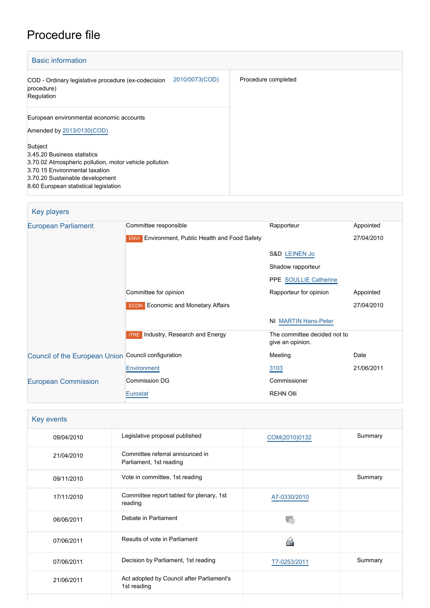# Procedure file

| <b>Basic information</b>                                                                                                                                                                                       |                     |
|----------------------------------------------------------------------------------------------------------------------------------------------------------------------------------------------------------------|---------------------|
| 2010/0073(COD)<br>COD - Ordinary legislative procedure (ex-codecision<br>procedure)<br>Regulation                                                                                                              | Procedure completed |
| European environmental economic accounts<br>Amended by 2013/0130(COD)                                                                                                                                          |                     |
| Subject<br>3.45.20 Business statistics<br>3.70.02 Atmospheric pollution, motor vehicle pollution<br>3.70.15 Environmental taxation<br>3.70.20 Sustainable development<br>8.60 European statistical legislation |                     |

| Key players |  |  |
|-------------|--|--|
|-------------|--|--|

| <b>European Parliament</b>                          | Committee responsible                                            | Rapporteur                                       | Appointed  |
|-----------------------------------------------------|------------------------------------------------------------------|--------------------------------------------------|------------|
|                                                     | <b>Environment, Public Health and Food Safety</b><br><b>ENVI</b> |                                                  | 27/04/2010 |
|                                                     |                                                                  | S&D LEINEN Jo                                    |            |
|                                                     |                                                                  | Shadow rapporteur                                |            |
|                                                     |                                                                  | PPE SOULLIE Catherine                            |            |
|                                                     | Committee for opinion                                            | Rapporteur for opinion                           | Appointed  |
|                                                     | <b>ECON</b> Economic and Monetary Affairs                        |                                                  | 27/04/2010 |
|                                                     |                                                                  | NI MARTIN Hans-Peter                             |            |
|                                                     |                                                                  |                                                  |            |
|                                                     | <b>ITRE</b> Industry, Research and Energy                        | The committee decided not to<br>give an opinion. |            |
| Council of the European Union Council configuration |                                                                  | Meeting                                          | Date       |
|                                                     | Environment                                                      | 3103                                             | 21/06/2011 |
| <b>European Commission</b>                          | Commission DG                                                    | Commissioner                                     |            |
|                                                     | Eurostat                                                         | <b>REHN Olli</b>                                 |            |

| Key events |                                                            |               |         |
|------------|------------------------------------------------------------|---------------|---------|
| 09/04/2010 | Legislative proposal published                             | COM(2010)0132 | Summary |
| 21/04/2010 | Committee referral announced in<br>Parliament, 1st reading |               |         |
| 09/11/2010 | Vote in committee, 1st reading                             |               | Summary |
| 17/11/2010 | Committee report tabled for plenary, 1st<br>reading        | A7-0330/2010  |         |
| 06/06/2011 | Debate in Parliament                                       |               |         |
| 07/06/2011 | Results of vote in Parliament                              | ≃             |         |
| 07/06/2011 | Decision by Parliament, 1st reading                        | T7-0253/2011  | Summary |
| 21/06/2011 | Act adopted by Council after Parliament's<br>1st reading   |               |         |
|            |                                                            |               |         |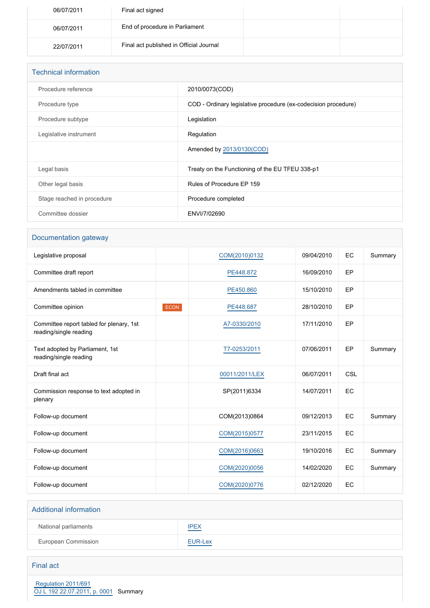| 06/07/2011 | Final act signed                        |  |
|------------|-----------------------------------------|--|
| 06/07/2011 | End of procedure in Parliament          |  |
| 22/07/2011 | Final act published in Official Journal |  |

| <b>Technical information</b> |                                                                |
|------------------------------|----------------------------------------------------------------|
| Procedure reference          | 2010/0073(COD)                                                 |
| Procedure type               | COD - Ordinary legislative procedure (ex-codecision procedure) |
| Procedure subtype            | Legislation                                                    |
| Legislative instrument       | Regulation                                                     |
|                              | Amended by 2013/0130(COD)                                      |
| Legal basis                  | Treaty on the Functioning of the EU TFEU 338-p1                |
| Other legal basis            | Rules of Procedure EP 159                                      |
| Stage reached in procedure   | Procedure completed                                            |
| Committee dossier            | ENVI/7/02690                                                   |

# Documentation gateway

| Legislative proposal                                               |      | COM(2010)0132  | 09/04/2010 | EC  | Summary |
|--------------------------------------------------------------------|------|----------------|------------|-----|---------|
| Committee draft report                                             |      | PE448.872      | 16/09/2010 | EP  |         |
| Amendments tabled in committee                                     |      | PE450.860      | 15/10/2010 | EP  |         |
| Committee opinion                                                  | ECON | PE448.687      | 28/10/2010 | EP  |         |
| Committee report tabled for plenary, 1st<br>reading/single reading |      | A7-0330/2010   | 17/11/2010 | EP  |         |
| Text adopted by Parliament, 1st<br>reading/single reading          |      | T7-0253/2011   | 07/06/2011 | EP  | Summary |
| Draft final act                                                    |      | 00011/2011/LEX | 06/07/2011 | CSL |         |
| Commission response to text adopted in<br>plenary                  |      | SP(2011)6334   | 14/07/2011 | EC  |         |
| Follow-up document                                                 |      | COM(2013)0864  | 09/12/2013 | EC  | Summary |
| Follow-up document                                                 |      | COM(2015)0577  | 23/11/2015 | EC  |         |
| Follow-up document                                                 |      | COM(2016)0663  | 19/10/2016 | EC  | Summary |
| Follow-up document                                                 |      | COM(2020)0056  | 14/02/2020 | EC  | Summary |
| Follow-up document                                                 |      | COM(2020)0776  | 02/12/2020 | EC  |         |

## Additional information

| National parliaments | <b>IPEX</b> |
|----------------------|-------------|
| European Commission  | EUR-Lex     |

### Final act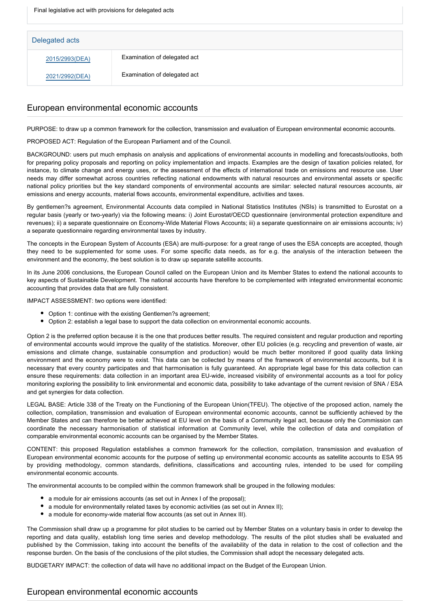| Delegated acts |                              |
|----------------|------------------------------|
| 2015/2993(DEA) | Examination of delegated act |
| 2021/2992(DEA) | Examination of delegated act |

# European environmental economic accounts

PURPOSE: to draw up a common framework for the collection, transmission and evaluation of European environmental economic accounts.

PROPOSED ACT: Regulation of the European Parliament and of the Council.

BACKGROUND: users put much emphasis on analysis and applications of environmental accounts in modelling and forecasts/outlooks, both for preparing policy proposals and reporting on policy implementation and impacts. Examples are the design of taxation policies related, for instance, to climate change and energy uses, or the assessment of the effects of international trade on emissions and resource use. User needs may differ somewhat across countries reflecting national endowments with natural resources and environmental assets or specific national policy priorities but the key standard components of environmental accounts are similar: selected natural resources accounts, air emissions and energy accounts, material flows accounts, environmental expenditure, activities and taxes.

By gentlemen?s agreement, Environmental Accounts data compiled in National Statistics Institutes (NSIs) is transmitted to Eurostat on a regular basis (yearly or two-yearly) via the following means: i) Joint Eurostat/OECD questionnaire (environmental protection expenditure and revenues); ii) a separate questionnaire on Economy-Wide Material Flows Accounts; iii) a separate questionnaire on air emissions accounts; iv) a separate questionnaire regarding environmental taxes by industry.

The concepts in the European System of Accounts (ESA) are multi-purpose: for a great range of uses the ESA concepts are accepted, though they need to be supplemented for some uses. For some specific data needs, as for e.g. the analysis of the interaction between the environment and the economy, the best solution is to draw up separate satellite accounts.

In its June 2006 conclusions, the European Council called on the European Union and its Member States to extend the national accounts to key aspects of Sustainable Development. The national accounts have therefore to be complemented with integrated environmental economic accounting that provides data that are fully consistent.

IMPACT ASSESSMENT: two options were identified:

- Option 1: continue with the existing Gentlemen?s agreement;
- Option 2: establish a legal base to support the data collection on environmental economic accounts.

Option 2 is the preferred option because it is the one that produces better results. The required consistent and regular production and reporting of environmental accounts would improve the quality of the statistics. Moreover, other EU policies (e.g. recycling and prevention of waste, air emissions and climate change, sustainable consumption and production) would be much better monitored if good quality data linking environment and the economy were to exist. This data can be collected by means of the framework of environmental accounts, but it is necessary that every country participates and that harmonisation is fully guaranteed. An appropriate legal base for this data collection can ensure these requirements: data collection in an important area EU-wide, increased visibility of environmental accounts as a tool for policy monitoring exploring the possibility to link environmental and economic data, possibility to take advantage of the current revision of SNA / ESA and get synergies for data collection.

LEGAL BASE: Article 338 of the Treaty on the Functioning of the European Union(TFEU). The objective of the proposed action, namely the collection, compilation, transmission and evaluation of European environmental economic accounts, cannot be sufficiently achieved by the Member States and can therefore be better achieved at EU level on the basis of a Community legal act, because only the Commission can coordinate the necessary harmonisation of statistical information at Community level, while the collection of data and compilation of comparable environmental economic accounts can be organised by the Member States.

CONTENT: this proposed Regulation establishes a common framework for the collection, compilation, transmission and evaluation of European environmental economic accounts for the purpose of setting up environmental economic accounts as satellite accounts to ESA 95 by providing methodology, common standards, definitions, classifications and accounting rules, intended to be used for compiling environmental economic accounts.

The environmental accounts to be compiled within the common framework shall be grouped in the following modules:

- a module for air emissions accounts (as set out in Annex I of the proposal);
- a module for environmentally related taxes by economic activities (as set out in Annex II);
- a module for economy-wide material flow accounts (as set out in Annex III).

The Commission shall draw up a programme for pilot studies to be carried out by Member States on a voluntary basis in order to develop the reporting and data quality, establish long time series and develop methodology. The results of the pilot studies shall be evaluated and published by the Commission, taking into account the benefits of the availability of the data in relation to the cost of collection and the response burden. On the basis of the conclusions of the pilot studies, the Commission shall adopt the necessary delegated acts.

BUDGETARY IMPACT: the collection of data will have no additional impact on the Budget of the European Union.

# European environmental economic accounts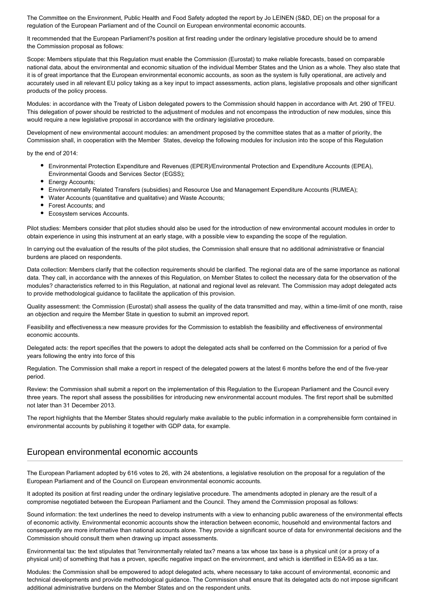The Committee on the Environment, Public Health and Food Safety adopted the report by Jo LEINEN (S&D, DE) on the proposal for a regulation of the European Parliament and of the Council on European environmental economic accounts.

It recommended that the European Parliament?s position at first reading under the ordinary legislative procedure should be to amend the Commission proposal as follows:

Scope: Members stipulate that this Regulation must enable the Commission (Eurostat) to make reliable forecasts, based on comparable national data, about the environmental and economic situation of the individual Member States and the Union as a whole. They also state that it is of great importance that the European environmental economic accounts, as soon as the system is fully operational, are actively and accurately used in all relevant EU policy taking as a key input to impact assessments, action plans, legislative proposals and other significant products of the policy process.

Modules: in accordance with the Treaty of Lisbon delegated powers to the Commission should happen in accordance with Art. 290 of TFEU. This delegation of power should be restricted to the adjustment of modules and not encompass the introduction of new modules, since this would require a new legislative proposal in accordance with the ordinary legislative procedure.

Development of new environmental account modules: an amendment proposed by the committee states that as a matter of priority, the Commission shall, in cooperation with the Member States, develop the following modules for inclusion into the scope of this Regulation

by the end of 2014:

- Environmental Protection Expenditure and Revenues (EPER)/Environmental Protection and Expenditure Accounts (EPEA), Environmental Goods and Services Sector (EGSS);
- Energy Accounts;
- Environmentally Related Transfers (subsidies) and Resource Use and Management Expenditure Accounts (RUMEA);
- Water Accounts (quantitative and qualitative) and Waste Accounts;
- Forest Accounts; and
- Ecosystem services Accounts.

Pilot studies: Members consider that pilot studies should also be used for the introduction of new environmental account modules in order to obtain experience in using this instrument at an early stage, with a possible view to expanding the scope of the regulation.

In carrying out the evaluation of the results of the pilot studies, the Commission shall ensure that no additional administrative or financial burdens are placed on respondents.

Data collection: Members clarify that the collection requirements should be clarified. The regional data are of the same importance as national data. They call, in accordance with the annexes of this Regulation, on Member States to collect the necessary data for the observation of the modules? characteristics referred to in this Regulation, at national and regional level as relevant. The Commission may adopt delegated acts to provide methodological guidance to facilitate the application of this provision.

Quality assessment: the Commission (Eurostat) shall assess the quality of the data transmitted and may, within a time-limit of one month, raise an objection and require the Member State in question to submit an improved report.

Feasibility and effectiveness:a new measure provides for the Commission to establish the feasibility and effectiveness of environmental economic accounts.

Delegated acts: the report specifies that the powers to adopt the delegated acts shall be conferred on the Commission for a period of five years following the entry into force of this

Regulation. The Commission shall make a report in respect of the delegated powers at the latest 6 months before the end of the five-year period.

Review: the Commission shall submit a report on the implementation of this Regulation to the European Parliament and the Council every three years. The report shall assess the possibilities for introducing new environmental account modules. The first report shall be submitted not later than 31 December 2013.

The report highlights that the Member States should regularly make available to the public information in a comprehensible form contained in environmental accounts by publishing it together with GDP data, for example.

## European environmental economic accounts

The European Parliament adopted by 616 votes to 26, with 24 abstentions, a legislative resolution on the proposal for a regulation of the European Parliament and of the Council on European environmental economic accounts.

It adopted its position at first reading under the ordinary legislative procedure. The amendments adopted in plenary are the result of a compromise negotiated between the European Parliament and the Council. They amend the Commission proposal as follows:

Sound information: the text underlines the need to develop instruments with a view to enhancing public awareness of the environmental effects of economic activity. Environmental economic accounts show the interaction between economic, household and environmental factors and consequently are more informative than national accounts alone. They provide a significant source of data for environmental decisions and the Commission should consult them when drawing up impact assessments.

Environmental tax: the text stipulates that ?environmentally related tax? means a tax whose tax base is a physical unit (or a proxy of a physical unit) of something that has a proven, specific negative impact on the environment, and which is identified in ESA-95 as a tax.

Modules: the Commission shall be empowered to adopt delegated acts, where necessary to take account of environmental, economic and technical developments and provide methodological guidance. The Commission shall ensure that its delegated acts do not impose significant additional administrative burdens on the Member States and on the respondent units.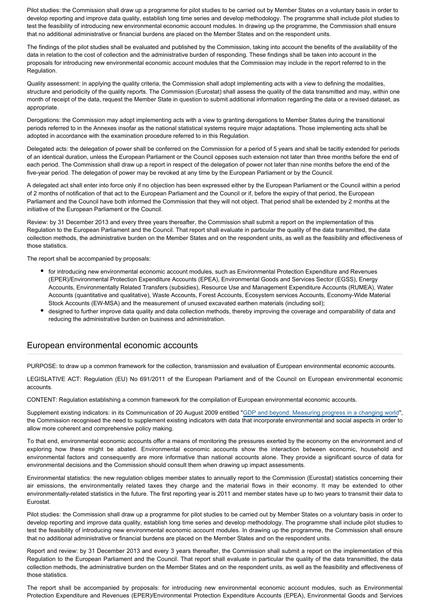Pilot studies: the Commission shall draw up a programme for pilot studies to be carried out by Member States on a voluntary basis in order to develop reporting and improve data quality, establish long time series and develop methodology. The programme shall include pilot studies to test the feasibility of introducing new environmental economic account modules. In drawing up the programme, the Commission shall ensure that no additional administrative or financial burdens are placed on the Member States and on the respondent units.

The findings of the pilot studies shall be evaluated and published by the Commission, taking into account the benefits of the availability of the data in relation to the cost of collection and the administrative burden of responding. These findings shall be taken into account in the proposals for introducing new environmental economic account modules that the Commission may include in the report referred to in the Regulation.

Quality assessment: in applying the quality criteria, the Commission shall adopt implementing acts with a view to defining the modalities, structure and periodicity of the quality reports. The Commission (Eurostat) shall assess the quality of the data transmitted and may, within one month of receipt of the data, request the Member State in question to submit additional information regarding the data or a revised dataset, as appropriate.

Derogations: the Commission may adopt implementing acts with a view to granting derogations to Member States during the transitional periods referred to in the Annexes insofar as the national statistical systems require major adaptations. Those implementing acts shall be adopted in accordance with the examination procedure referred to in this Regulation.

Delegated acts: the delegation of power shall be conferred on the Commission for a period of 5 years and shall be tacitly extended for periods of an identical duration, unless the European Parliament or the Council opposes such extension not later than three months before the end of each period. The Commission shall draw up a report in respect of the delegation of power not later than nine months before the end of the five-year period. The delegation of power may be revoked at any time by the European Parliament or by the Council.

A delegated act shall enter into force only if no objection has been expressed either by the European Parliament or the Council within a period of 2 months of notification of that act to the European Parliament and the Council or if, before the expiry of that period, the European Parliament and the Council have both informed the Commission that they will not object. That period shall be extended by 2 months at the initiative of the European Parliament or the Council.

Review: by 31 December 2013 and every three years thereafter, the Commission shall submit a report on the implementation of this Regulation to the European Parliament and the Council. That report shall evaluate in particular the quality of the data transmitted, the data collection methods, the administrative burden on the Member States and on the respondent units, as well as the feasibility and effectiveness of those statistics.

The report shall be accompanied by proposals:

- for introducing new environmental economic account modules, such as Environmental Protection Expenditure and Revenues (EPER)/Environmental Protection Expenditure Accounts (EPEA), Environmental Goods and Services Sector (EGSS), Energy Accounts, Environmentally Related Transfers (subsidies), Resource Use and Management Expenditure Accounts (RUMEA), Water Accounts (quantitative and qualitative), Waste Accounts, Forest Accounts, Ecosystem services Accounts, Economy-Wide Material Stock Accounts (EW-MSA) and the measurement of unused excavated earthen materials (including soil);
- designed to further improve data quality and data collection methods, thereby improving the coverage and comparability of data and reducing the administrative burden on business and administration.

# European environmental economic accounts

PURPOSE: to draw up a common framework for the collection, transmission and evaluation of European environmental economic accounts.

LEGISLATIVE ACT: Regulation (EU) No 691/2011 of the European Parliament and of the Council on European environmental economic accounts.

CONTENT: Regulation establishing a common framework for the compilation of European environmental economic accounts.

Supplement existing indicators: in its Communication of 20 August 2009 entitled "[GDP and beyond: Measuring progress in a changing world](http://www.eur-lex.europa.eu/LexUriServ/LexUriServ.do?uri=COM:2009:0433:FIN:EN:PDF)", the Commission recognised the need to supplement existing indicators with data that incorporate environmental and social aspects in order to allow more coherent and comprehensive policy making.

To that end, environmental economic accounts offer a means of monitoring the pressures exerted by the economy on the environment and of exploring how these might be abated. Environmental economic accounts show the interaction between economic, household and environmental factors and consequently are more informative than national accounts alone. They provide a significant source of data for environmental decisions and the Commission should consult them when drawing up impact assessments.

Environmental statistics: the new regulation obliges member states to annually report to the Commission (Eurostat) statistics concerning their air emissions, the environmentally related taxes they charge and the material flows in their economy. It may be extended to other environmentally-related statistics in the future. The first reporting year is 2011 and member states have up to two years to transmit their data to Eurostat.

Pilot studies: the Commission shall draw up a programme for pilot studies to be carried out by Member States on a voluntary basis in order to develop reporting and improve data quality, establish long time series and develop methodology. The programme shall include pilot studies to test the feasibility of introducing new environmental economic account modules. In drawing up the programme, the Commission shall ensure that no additional administrative or financial burdens are placed on the Member States and on the respondent units.

Report and review: by 31 December 2013 and every 3 years thereafter, the Commission shall submit a report on the implementation of this Regulation to the European Parliament and the Council. That report shall evaluate in particular the quality of the data transmitted, the data collection methods, the administrative burden on the Member States and on the respondent units, as well as the feasibility and effectiveness of those statistics.

The report shall be accompanied by proposals: for introducing new environmental economic account modules, such as Environmental Protection Expenditure and Revenues (EPER)/Environmental Protection Expenditure Accounts (EPEA), Environmental Goods and Services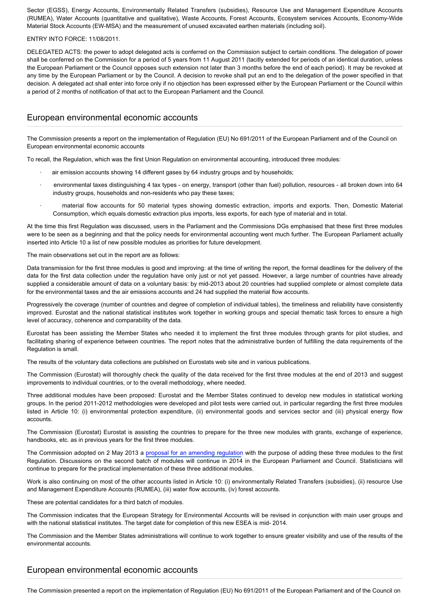Sector (EGSS), Energy Accounts, Environmentally Related Transfers (subsidies), Resource Use and Management Expenditure Accounts (RUMEA), Water Accounts (quantitative and qualitative), Waste Accounts, Forest Accounts, Ecosystem services Accounts, Economy-Wide Material Stock Accounts (EW-MSA) and the measurement of unused excavated earthen materials (including soil).

#### ENTRY INTO FORCE: 11/08/2011.

DELEGATED ACTS: the power to adopt delegated acts is conferred on the Commission subject to certain conditions. The delegation of power shall be conferred on the Commission for a period of 5 years from 11 August 2011 (tacitly extended for periods of an identical duration, unless the European Parliament or the Council opposes such extension not later than 3 months before the end of each period). It may be revoked at any time by the European Parliament or by the Council. A decision to revoke shall put an end to the delegation of the power specified in that decision. A delegated act shall enter into force only if no objection has been expressed either by the European Parliament or the Council within a period of 2 months of notification of that act to the European Parliament and the Council.

## European environmental economic accounts

The Commission presents a report on the implementation of Regulation (EU) No 691/2011 of the European Parliament and of the Council on European environmental economic accounts

To recall, the Regulation, which was the first Union Regulation on environmental accounting, introduced three modules:

- air emission accounts showing 14 different gases by 64 industry groups and by households;
- · environmental taxes distinguishing 4 tax types on energy, transport (other than fuel) pollution, resources all broken down into 64 industry groups, households and non-residents who pay these taxes;
- material flow accounts for 50 material types showing domestic extraction, imports and exports. Then, Domestic Material Consumption, which equals domestic extraction plus imports, less exports, for each type of material and in total.

At the time this first Regulation was discussed, users in the Parliament and the Commissions DGs emphasised that these first three modules were to be seen as a beginning and that the policy needs for environmental accounting went much further. The European Parliament actually inserted into Article 10 a list of new possible modules as priorities for future development.

The main observations set out in the report are as follows:

Data transmission for the first three modules is good and improving: at the time of writing the report, the formal deadlines for the delivery of the data for the first data collection under the regulation have only just or not yet passed. However, a large number of countries have already supplied a considerable amount of data on a voluntary basis: by mid-2013 about 20 countries had supplied complete or almost complete data for the environmental taxes and the air emissions accounts and 24 had supplied the material flow accounts.

Progressively the coverage (number of countries and degree of completion of individual tables), the timeliness and reliability have consistently improved. Eurostat and the national statistical institutes work together in working groups and special thematic task forces to ensure a high level of accuracy, coherence and comparability of the data.

Eurostat has been assisting the Member States who needed it to implement the first three modules through grants for pilot studies, and facilitating sharing of experience between countries. The report notes that the administrative burden of fulfilling the data requirements of the Regulation is small.

The results of the voluntary data collections are published on Eurostats web site and in various publications.

The Commission (Eurostat) will thoroughly check the quality of the data received for the first three modules at the end of 2013 and suggest improvements to individual countries, or to the overall methodology, where needed.

Three additional modules have been proposed: Eurostat and the Member States continued to develop new modules in statistical working groups. In the period 2011-2012 methodologies were developed and pilot tests were carried out, in particular regarding the first three modules listed in Article 10: (i) environmental protection expenditure, (ii) environmental goods and services sector and (iii) physical energy flow accounts.

The Commission (Eurostat) Eurostat is assisting the countries to prepare for the three new modules with grants, exchange of experience, handbooks, etc. as in previous years for the first three modules.

The Commission adopted on 2 May 2013 a [proposal for an amending regulation](http://www.europarl.europa.eu/oeil/popups/ficheprocedure.do?reference=2013/0130(COD)&l=en) with the purpose of adding these three modules to the first Regulation. Discussions on the second batch of modules will continue in 2014 in the European Parliament and Council. Statisticians will continue to prepare for the practical implementation of these three additional modules.

Work is also continuing on most of the other accounts listed in Article 10: (i) environmentally Related Transfers (subsidies), (ii) resource Use and Management Expenditure Accounts (RUMEA), (iii) water flow accounts, (iv) forest accounts.

These are potential candidates for a third batch of modules.

The Commission indicates that the European Strategy for Environmental Accounts will be revised in conjunction with main user groups and with the national statistical institutes. The target date for completion of this new ESEA is mid- 2014.

The Commission and the Member States administrations will continue to work together to ensure greater visibility and use of the results of the environmental accounts.

# European environmental economic accounts

The Commission presented a report on the implementation of Regulation (EU) No 691/2011 of the European Parliament and of the Council on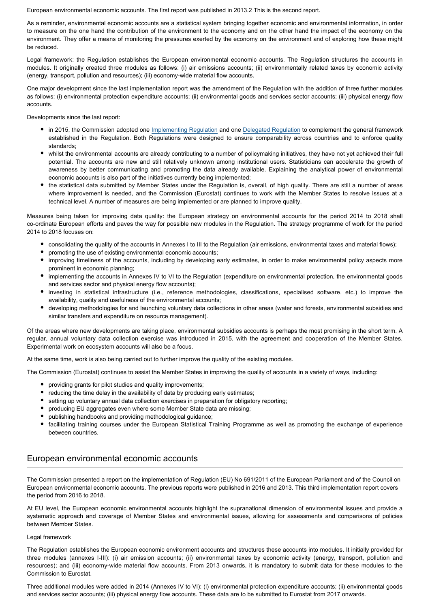European environmental economic accounts. The first report was published in 2013.2 This is the second report.

As a reminder, environmental economic accounts are a statistical system bringing together economic and environmental information, in order to measure on the one hand the contribution of the environment to the economy and on the other hand the impact of the economy on the environment. They offer a means of monitoring the pressures exerted by the economy on the environment and of exploring how these might be reduced.

Legal framework: the Regulation establishes the European environmental economic accounts. The Regulation structures the accounts in modules. It originally created three modules as follows: (i) air emissions accounts; (ii) environmentally related taxes by economic activity (energy, transport, pollution and resources); (iii) economy-wide material flow accounts.

One major development since the last implementation report was the amendment of the Regulation with the addition of three further modules as follows: (i) environmental protection expenditure accounts; (ii) environmental goods and services sector accounts; (iii) physical energy flow accounts.

Developments since the last report:

- in 2015, the Commission adopted one [Implementing Regulation](http://eur-lex.europa.eu/legal-content/EN/TXT/PDF/?uri=CELEX:32015R2174&rid=1) and one [Delegated Regulation](http://eur-lex.europa.eu/legal-content/EN/TXT/PDF/?uri=CELEX:32016R0172&rid=1) to complement the general framework established in the Regulation. Both Regulations were designed to ensure comparability across countries and to enforce quality standards;
- whilst the environmental accounts are already contributing to a number of policymaking initiatives, they have not yet achieved their full potential. The accounts are new and still relatively unknown among institutional users. Statisticians can accelerate the growth of awareness by better communicating and promoting the data already available. Explaining the analytical power of environmental economic accounts is also part of the initiatives currently being implemented;
- the statistical data submitted by Member States under the Regulation is, overall, of high quality. There are still a number of areas where improvement is needed, and the Commission (Eurostat) continues to work with the Member States to resolve issues at a technical level. A number of measures are being implemented or are planned to improve quality.

Measures being taken for improving data quality: the European strategy on environmental accounts for the period 2014 to 2018 shall co-ordinate European efforts and paves the way for possible new modules in the Regulation. The strategy programme of work for the period 2014 to 2018 focuses on:

- consolidating the quality of the accounts in Annexes I to III to the Regulation (air emissions, environmental taxes and material flows);
- promoting the use of existing environmental economic accounts;
- improving timeliness of the accounts, including by developing early estimates, in order to make environmental policy aspects more prominent in economic planning;
- implementing the accounts in Annexes IV to VI to the Regulation (expenditure on environmental protection, the environmental goods and services sector and physical energy flow accounts);
- investing in statistical infrastructure (i.e., reference methodologies, classifications, specialised software, etc.) to improve the availability, quality and usefulness of the environmental accounts;
- developing methodologies for and launching voluntary data collections in other areas (water and forests, environmental subsidies and similar transfers and expenditure on resource management).

Of the areas where new developments are taking place, environmental subsidies accounts is perhaps the most promising in the short term. A regular, annual voluntary data collection exercise was introduced in 2015, with the agreement and cooperation of the Member States. Experimental work on ecosystem accounts will also be a focus.

At the same time, work is also being carried out to further improve the quality of the existing modules.

The Commission (Eurostat) continues to assist the Member States in improving the quality of accounts in a variety of ways, including:

- providing grants for pilot studies and quality improvements;
- reducing the time delay in the availability of data by producing early estimates;
- setting up voluntary annual data collection exercises in preparation for obligatory reporting;
- producing EU aggregates even where some Member State data are missing;
- publishing handbooks and providing methodological guidance;
- facilitating training courses under the European Statistical Training Programme as well as promoting the exchange of experience between countries.

# European environmental economic accounts

The Commission presented a report on the implementation of Regulation (EU) No 691/2011 of the European Parliament and of the Council on European environmental economic accounts. The previous reports were published in 2016 and 2013. This third implementation report covers the period from 2016 to 2018.

At EU level, the European economic environmental accounts highlight the supranational dimension of environmental issues and provide a systematic approach and coverage of Member States and environmental issues, allowing for assessments and comparisons of policies between Member States.

#### Legal framework

The Regulation establishes the European economic environment accounts and structures these accounts into modules. It initially provided for three modules (annexes I-III): (i) air emission accounts; (ii) environmental taxes by economic activity (energy, transport, pollution and resources); and (iii) economy-wide material flow accounts. From 2013 onwards, it is mandatory to submit data for these modules to the Commission to Eurostat.

Three additional modules were added in 2014 (Annexes IV to VI): (i) environmental protection expenditure accounts; (ii) environmental goods and services sector accounts; (iii) physical energy flow accounts. These data are to be submitted to Eurostat from 2017 onwards.